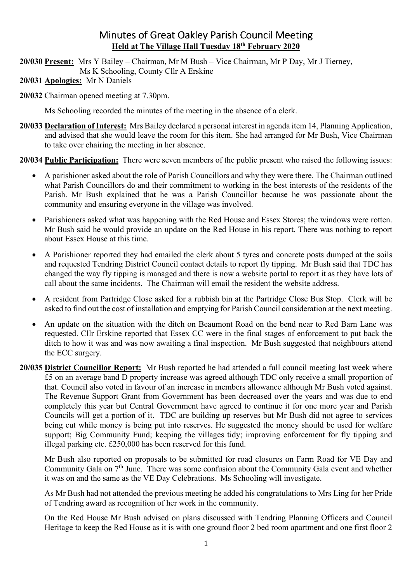# Minutes of Great Oakley Parish Council Meeting **Held at The Village Hall Tuesday 18th February 2020**

**20/030 Present:** Mrs Y Bailey – Chairman, Mr M Bush – Vice Chairman, Mr P Day, Mr J Tierney,

Ms K Schooling, County Cllr A Erskine

**20/031 Apologies:** Mr N Daniels

**20/032** Chairman opened meeting at 7.30pm.

Ms Schooling recorded the minutes of the meeting in the absence of a clerk.

**20/033 Declaration of Interest:** Mrs Bailey declared a personal interest in agenda item 14, Planning Application, and advised that she would leave the room for this item. She had arranged for Mr Bush, Vice Chairman to take over chairing the meeting in her absence.

**20/034 Public Participation:** There were seven members of the public present who raised the following issues:

- A parishioner asked about the role of Parish Councillors and why they were there. The Chairman outlined what Parish Councillors do and their commitment to working in the best interests of the residents of the Parish. Mr Bush explained that he was a Parish Councillor because he was passionate about the community and ensuring everyone in the village was involved.
- Parishioners asked what was happening with the Red House and Essex Stores; the windows were rotten. Mr Bush said he would provide an update on the Red House in his report. There was nothing to report about Essex House at this time.
- A Parishioner reported they had emailed the clerk about 5 tyres and concrete posts dumped at the soils and requested Tendring District Council contact details to report fly tipping. Mr Bush said that TDC has changed the way fly tipping is managed and there is now a website portal to report it as they have lots of call about the same incidents. The Chairman will email the resident the website address.
- A resident from Partridge Close asked for a rubbish bin at the Partridge Close Bus Stop. Clerk will be asked to find out the cost of installation and emptying for Parish Council consideration at the next meeting.
- An update on the situation with the ditch on Beaumont Road on the bend near to Red Barn Lane was requested. Cllr Erskine reported that Essex CC were in the final stages of enforcement to put back the ditch to how it was and was now awaiting a final inspection. Mr Bush suggested that neighbours attend the ECC surgery.
- **20/035 District Councillor Report:** Mr Bush reported he had attended a full council meeting last week where £5 on an average band D property increase was agreed although TDC only receive a small proportion of that. Council also voted in favour of an increase in members allowance although Mr Bush voted against. The Revenue Support Grant from Government has been decreased over the years and was due to end completely this year but Central Government have agreed to continue it for one more year and Parish Councils will get a portion of it. TDC are building up reserves but Mr Bush did not agree to services being cut while money is being put into reserves. He suggested the money should be used for welfare support; Big Community Fund; keeping the villages tidy; improving enforcement for fly tipping and illegal parking etc. £250,000 has been reserved for this fund.

Mr Bush also reported on proposals to be submitted for road closures on Farm Road for VE Day and Community Gala on 7<sup>th</sup> June. There was some confusion about the Community Gala event and whether it was on and the same as the VE Day Celebrations. Ms Schooling will investigate.

As Mr Bush had not attended the previous meeting he added his congratulations to Mrs Ling for her Pride of Tendring award as recognition of her work in the community.

On the Red House Mr Bush advised on plans discussed with Tendring Planning Officers and Council Heritage to keep the Red House as it is with one ground floor 2 bed room apartment and one first floor 2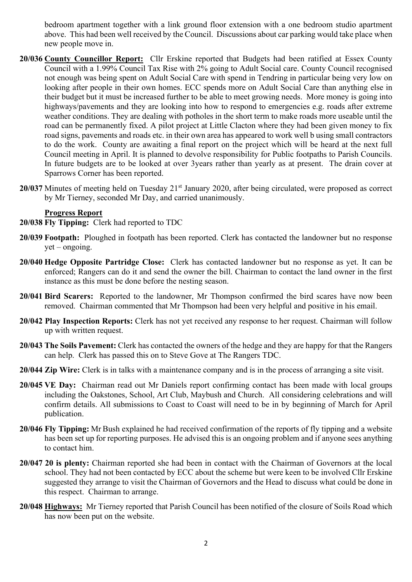bedroom apartment together with a link ground floor extension with a one bedroom studio apartment above. This had been well received by the Council. Discussions about car parking would take place when new people move in.

- **20/036 County Councillor Report:** Cllr Erskine reported that Budgets had been ratified at Essex County Council with a 1.99% Council Tax Rise with 2% going to Adult Social care. County Council recognised not enough was being spent on Adult Social Care with spend in Tendring in particular being very low on looking after people in their own homes. ECC spends more on Adult Social Care than anything else in their budget but it must be increased further to be able to meet growing needs. More money is going into highways/pavements and they are looking into how to respond to emergencies e.g. roads after extreme weather conditions. They are dealing with potholes in the short term to make roads more useable until the road can be permanently fixed. A pilot project at Little Clacton where they had been given money to fix road signs, pavements and roads etc. in their own area has appeared to work well b using small contractors to do the work. County are awaiting a final report on the project which will be heard at the next full Council meeting in April. It is planned to devolve responsibility for Public footpaths to Parish Councils. In future budgets are to be looked at over 3years rather than yearly as at present. The drain cover at Sparrows Corner has been reported.
- **20/037** Minutes of meeting held on Tuesday 21<sup>st</sup> January 2020, after being circulated, were proposed as correct by Mr Tierney, seconded Mr Day, and carried unanimously.

#### **Progress Report**

- **20/038 Fly Tipping:** Clerk had reported to TDC
- **20/039 Footpath:** Ploughed in footpath has been reported. Clerk has contacted the landowner but no response  $yet - ongoing.$
- **20/040 Hedge Opposite Partridge Close:** Clerk has contacted landowner but no response as yet. It can be enforced; Rangers can do it and send the owner the bill. Chairman to contact the land owner in the first instance as this must be done before the nesting season.
- **20/041 Bird Scarers:** Reported to the landowner, Mr Thompson confirmed the bird scares have now been removed. Chairman commented that Mr Thompson had been very helpful and positive in his email.
- **20/042 Play Inspection Reports:** Clerk has not yet received any response to her request. Chairman will follow up with written request.
- **20/043 The Soils Pavement:** Clerk has contacted the owners of the hedge and they are happy for that the Rangers can help. Clerk has passed this on to Steve Gove at The Rangers TDC.
- **20/044 Zip Wire:** Clerk is in talks with a maintenance company and is in the process of arranging a site visit.
- **20/045 VE Day:** Chairman read out Mr Daniels report confirming contact has been made with local groups including the Oakstones, School, Art Club, Maybush and Church. All considering celebrations and will confirm details. All submissions to Coast to Coast will need to be in by beginning of March for April publication.
- **20/046 Fly Tipping:** Mr Bush explained he had received confirmation of the reports of fly tipping and a website has been set up for reporting purposes. He advised this is an ongoing problem and if anyone sees anything to contact him.
- **20/047 20 is plenty:** Chairman reported she had been in contact with the Chairman of Governors at the local school. They had not been contacted by ECC about the scheme but were keen to be involved Cllr Erskine suggested they arrange to visit the Chairman of Governors and the Head to discuss what could be done in this respect. Chairman to arrange.
- **20/048 Highways:** Mr Tierney reported that Parish Council has been notified of the closure of Soils Road which has now been put on the website.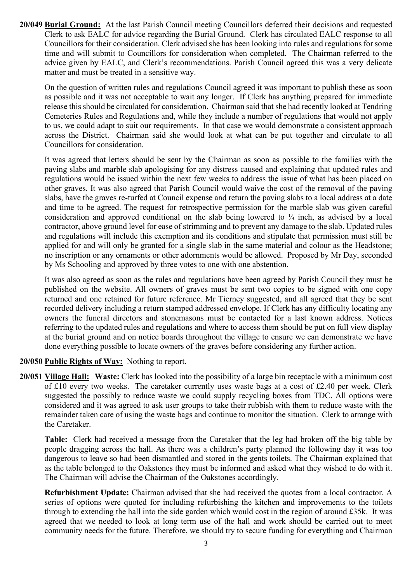**20/049 Burial Ground:** At the last Parish Council meeting Councillors deferred their decisions and requested Clerk to ask EALC for advice regarding the Burial Ground. Clerk has circulated EALC response to all Councillors for their consideration. Clerk advised she has been looking into rules and regulations for some time and will submit to Councillors for consideration when completed. The Chairman referred to the advice given by EALC, and Clerk's recommendations. Parish Council agreed this was a very delicate matter and must be treated in a sensitive way.

On the question of written rules and regulations Council agreed it was important to publish these as soon as possible and it was not acceptable to wait any longer. If Clerk has anything prepared for immediate release this should be circulated for consideration. Chairman said that she had recently looked at Tendring Cemeteries Rules and Regulations and, while they include a number of regulations that would not apply to us, we could adapt to suit our requirements. In that case we would demonstrate a consistent approach across the District. Chairman said she would look at what can be put together and circulate to all Councillors for consideration.

It was agreed that letters should be sent by the Chairman as soon as possible to the families with the paving slabs and marble slab apologising for any distress caused and explaining that updated rules and regulations would be issued within the next few weeks to address the issue of what has been placed on other graves. It was also agreed that Parish Council would waive the cost of the removal of the paving slabs, have the graves re-turfed at Council expense and return the paving slabs to a local address at a date and time to be agreed. The request for retrospective permission for the marble slab was given careful consideration and approved conditional on the slab being lowered to  $\frac{1}{4}$  inch, as advised by a local contractor, above ground level for ease of strimming and to prevent any damage to the slab. Updated rules and regulations will include this exemption and its conditions and stipulate that permission must still be applied for and will only be granted for a single slab in the same material and colour as the Headstone; no inscription or any ornaments or other adornments would be allowed. Proposed by Mr Day, seconded by Ms Schooling and approved by three votes to one with one abstention.

It was also agreed as soon as the rules and regulations have been agreed by Parish Council they must be published on the website. All owners of graves must be sent two copies to be signed with one copy returned and one retained for future reference. Mr Tierney suggested, and all agreed that they be sent recorded delivery including a return stamped addressed envelope. If Clerk has any difficulty locating any owners the funeral directors and stonemasons must be contacted for a last known address. Notices referring to the updated rules and regulations and where to access them should be put on full view display at the burial ground and on notice boards throughout the village to ensure we can demonstrate we have done everything possible to locate owners of the graves before considering any further action.

# **20/050 Public Rights of Way:** Nothing to report.

**20/051 Village Hall: Waste:** Clerk has looked into the possibility of a large bin receptacle with a minimum cost of £10 every two weeks. The caretaker currently uses waste bags at a cost of £2.40 per week. Clerk suggested the possibly to reduce waste we could supply recycling boxes from TDC. All options were considered and it was agreed to ask user groups to take their rubbish with them to reduce waste with the remainder taken care of using the waste bags and continue to monitor the situation. Clerk to arrange with the Caretaker.

 **Table:** Clerk had received a message from the Caretaker that the leg had broken off the big table by people dragging across the hall. As there was a children's party planned the following day it was too dangerous to leave so had been dismantled and stored in the gents toilets. The Chairman explained that as the table belonged to the Oakstones they must be informed and asked what they wished to do with it. The Chairman will advise the Chairman of the Oakstones accordingly.

 **Refurbishment Update:** Chairman advised that she had received the quotes from a local contractor. A series of options were quoted for including refurbishing the kitchen and improvements to the toilets through to extending the hall into the side garden which would cost in the region of around £35k. It was agreed that we needed to look at long term use of the hall and work should be carried out to meet community needs for the future. Therefore, we should try to secure funding for everything and Chairman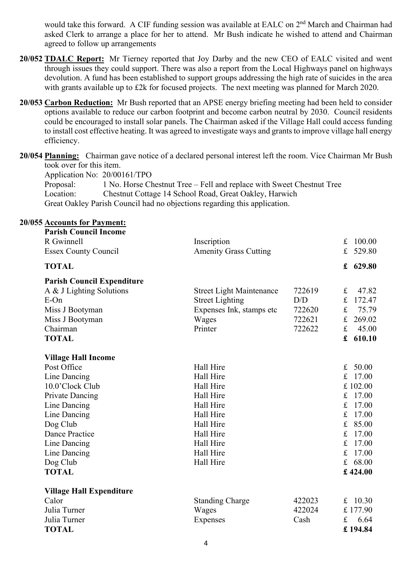would take this forward. A CIF funding session was available at EALC on 2<sup>nd</sup> March and Chairman had asked Clerk to arrange a place for her to attend. Mr Bush indicate he wished to attend and Chairman agreed to follow up arrangements

- **20/052 TDALC Report:** Mr Tierney reported that Joy Darby and the new CEO of EALC visited and went through issues they could support. There was also a report from the Local Highways panel on highways devolution. A fund has been established to support groups addressing the high rate of suicides in the area with grants available up to £2k for focused projects. The next meeting was planned for March 2020.
- **20/053 Carbon Reduction:** Mr Bush reported that an APSE energy briefing meeting had been held to consider options available to reduce our carbon footprint and become carbon neutral by 2030. Council residents could be encouraged to install solar panels. The Chairman asked if the Village Hall could access funding to install cost effective heating. It was agreed to investigate ways and grants to improve village hall energy efficiency.

**20/054 Planning:** Chairman gave notice of a declared personal interest left the room. Vice Chairman Mr Bush took over for this item.

Application No: 20/00161/TPO

Proposal: 1 No. Horse Chestnut Tree – Fell and replace with Sweet Chestnut Tree<br>Location: Chestnut Cottage 14 School Road, Great Oakley, Harwich Chestnut Cottage 14 School Road, Great Oakley, Harwich Great Oakley Parish Council had no objections regarding this application.

| <b>20/055 Accounts for Payment:</b> |                                 |        |                       |
|-------------------------------------|---------------------------------|--------|-----------------------|
| <b>Parish Council Income</b>        |                                 |        |                       |
| R Gwinnell                          | Inscription                     |        | f<br>100.00           |
| <b>Essex County Council</b>         | <b>Amenity Grass Cutting</b>    |        | 529.80<br>f           |
| <b>TOTAL</b>                        |                                 |        | 629.80<br>$\mathbf f$ |
| <b>Parish Council Expenditure</b>   |                                 |        |                       |
| A & J Lighting Solutions            | <b>Street Light Maintenance</b> | 722619 | $\mathbf f$<br>47.82  |
| $E$ -On                             | <b>Street Lighting</b>          | D/D    | $\mathbf f$<br>172.47 |
| Miss J Bootyman                     | Expenses Ink, stamps etc        | 722620 | $\mathbf f$<br>75.79  |
| Miss J Bootyman                     | Wages                           | 722621 | $\mathbf f$<br>269.02 |
| Chairman                            | Printer                         | 722622 | $\mathbf f$<br>45.00  |
| <b>TOTAL</b>                        |                                 |        | $\mathbf f$<br>610.10 |
| <b>Village Hall Income</b>          |                                 |        |                       |
| Post Office                         | Hall Hire                       |        | 50.00<br>$f_{\rm L}$  |
| Line Dancing                        | Hall Hire                       |        | £ 17.00               |
| 10.0'Clock Club                     | Hall Hire                       |        | £102.00               |
| <b>Private Dancing</b>              | Hall Hire                       |        | £ $17.00$             |
| Line Dancing                        | Hall Hire                       |        | f<br>17.00            |
| Line Dancing                        | Hall Hire                       |        | 17.00<br>f            |
| Dog Club                            | Hall Hire                       |        | f<br>85.00            |
| <b>Dance Practice</b>               | Hall Hire                       |        | 17.00<br>f            |
| Line Dancing                        | Hall Hire                       |        | 17.00<br>f            |
| Line Dancing                        | Hall Hire                       |        | f<br>17.00            |
| Dog Club                            | Hall Hire                       |        | £ $68.00$             |
| <b>TOTAL</b>                        |                                 |        | £424.00               |
| <b>Village Hall Expenditure</b>     |                                 |        |                       |
| Calor                               | <b>Standing Charge</b>          | 422023 | £ $10.30$             |
| Julia Turner                        | Wages                           | 422024 | £177.90               |
| Julia Turner                        | Expenses                        | Cash   | 6.64<br>£             |
| <b>TOTAL</b>                        |                                 |        | £194.84               |